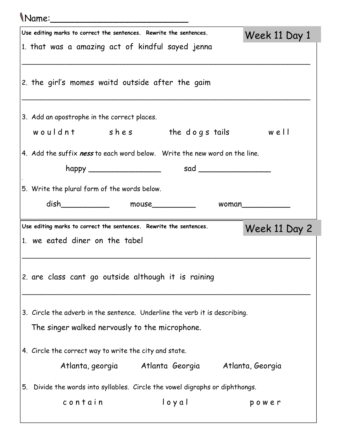## Name:\_\_\_\_\_\_\_\_\_\_\_\_\_\_\_\_\_\_\_\_\_\_\_\_\_

|    | $\mathbf{u}$                                                                                                                                                                                                                  |                  |
|----|-------------------------------------------------------------------------------------------------------------------------------------------------------------------------------------------------------------------------------|------------------|
|    | Use editing marks to correct the sentences. Rewrite the sentences.                                                                                                                                                            | Week 11 Day 1    |
|    | 1. that was a amazing act of kindful sayed jenna                                                                                                                                                                              |                  |
|    |                                                                                                                                                                                                                               |                  |
|    | 2. the girl's momes waitd outside after the gaim                                                                                                                                                                              |                  |
|    |                                                                                                                                                                                                                               |                  |
|    |                                                                                                                                                                                                                               |                  |
|    | 3. Add an apostrophe in the correct places.                                                                                                                                                                                   |                  |
|    | wouldnt shes the dogs tails well                                                                                                                                                                                              |                  |
|    | 4. Add the suffix ness to each word below. Write the new word on the line.                                                                                                                                                    |                  |
|    | happy $s$ and $s$ and $s$ and $s$ and $s$ and $s$ and $s$ and $s$ and $s$ and $s$ and $s$ and $s$ and $s$ and $s$ and $s$ and $s$ and $s$ and $s$ and $s$ and $s$ and $s$ and $s$ and $s$ and $s$ and $s$ and $s$ and $s$ and |                  |
|    |                                                                                                                                                                                                                               |                  |
|    | 5. Write the plural form of the words below.                                                                                                                                                                                  |                  |
|    |                                                                                                                                                                                                                               |                  |
|    |                                                                                                                                                                                                                               | woman            |
|    | Use editing marks to correct the sentences. Rewrite the sentences.                                                                                                                                                            |                  |
|    | 1. we eated diner on the tabel                                                                                                                                                                                                | Week 11 Day 2    |
|    |                                                                                                                                                                                                                               |                  |
|    |                                                                                                                                                                                                                               |                  |
|    | 2. are class cant go outside although it is raining                                                                                                                                                                           |                  |
|    |                                                                                                                                                                                                                               |                  |
|    | 3. Circle the adverb in the sentence. Underline the verb it is describing.                                                                                                                                                    |                  |
|    | The singer walked nervously to the microphone.                                                                                                                                                                                |                  |
|    |                                                                                                                                                                                                                               |                  |
|    | 4. Circle the correct way to write the city and state.                                                                                                                                                                        |                  |
|    | Atlanta, georgia katlanta Georgia                                                                                                                                                                                             | Atlanta, Georgia |
|    |                                                                                                                                                                                                                               |                  |
| 5. | Divide the words into syllables. Circle the vowel digraphs or diphthongs.<br>loyal<br>contain                                                                                                                                 | power            |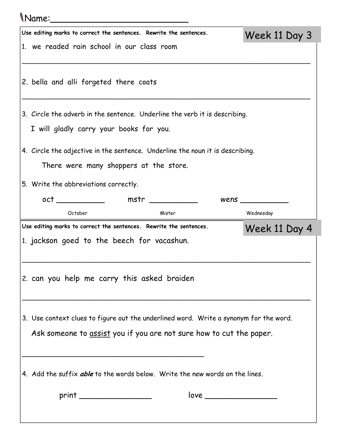## Name:\_\_\_\_\_\_\_\_\_\_\_\_\_\_\_\_\_\_\_\_\_\_\_\_\_ Use editing marks to correct the sentences. Rewrite the sentences. 1. we readed rain school in our class room \_\_\_\_\_\_\_\_\_\_\_\_\_\_\_\_\_\_\_\_\_\_\_\_\_\_\_\_\_\_\_\_\_\_\_\_\_\_\_\_\_\_\_\_\_\_\_\_\_\_\_\_\_\_\_\_\_\_\_\_\_\_\_\_\_\_\_\_\_\_\_\_\_\_\_\_ 2. bella and alli forgeted there coats \_\_\_\_\_\_\_\_\_\_\_\_\_\_\_\_\_\_\_\_\_\_\_\_\_\_\_\_\_\_\_\_\_\_\_\_\_\_\_\_\_\_\_\_\_\_\_\_\_\_\_\_\_\_\_\_\_\_\_\_\_\_\_\_\_\_\_\_\_\_\_\_\_\_\_\_ 3. Circle the adverb in the sentence. Underline the verb it is describing. I will gladly carry your books for you. 4. Circle the adjective in the sentence. Underline the noun it is describing. There were many shoppers at the store. 5. Write the abbreviations correctly. oct \_\_\_\_\_\_\_\_\_\_\_\_\_\_ mstr \_\_\_\_\_\_\_\_\_\_\_\_ wens \_\_\_\_\_\_\_\_\_\_\_\_ October Mister Wednesday Week 11 Day 3 Use editing marks to correct the sentences. Rewrite the sentences. 1. jackson goed to the beech for vacashun. \_\_\_\_\_\_\_\_\_\_\_\_\_\_\_\_\_\_\_\_\_\_\_\_\_\_\_\_\_\_\_\_\_\_\_\_\_\_\_\_\_\_\_\_\_\_\_\_\_\_\_\_\_\_\_\_\_\_\_\_\_\_\_\_\_\_\_\_\_\_\_\_\_\_\_\_ 2. can you help me carry this asked braiden \_\_\_\_\_\_\_\_\_\_\_\_\_\_\_\_\_\_\_\_\_\_\_\_\_\_\_\_\_\_\_\_\_\_\_\_\_\_\_\_\_\_\_\_\_\_\_\_\_\_\_\_\_\_\_\_\_\_\_\_\_\_\_\_\_\_\_\_\_\_\_\_\_\_\_\_ 3. Use context clues to figure out the underlined word. Write a synonym for the word. Ask someone to assist you if you are not sure how to cut the paper. \_\_\_\_\_\_\_\_\_\_\_\_\_\_\_\_\_\_\_\_\_\_\_\_\_\_\_\_\_\_\_\_\_\_\_\_\_\_\_\_\_\_\_\_ 4. Add the suffix *able* to the words below. Write the new words on the lines.  $print \quad \qquad \text{love} \quad \text{love}$ Week 11 Day 4